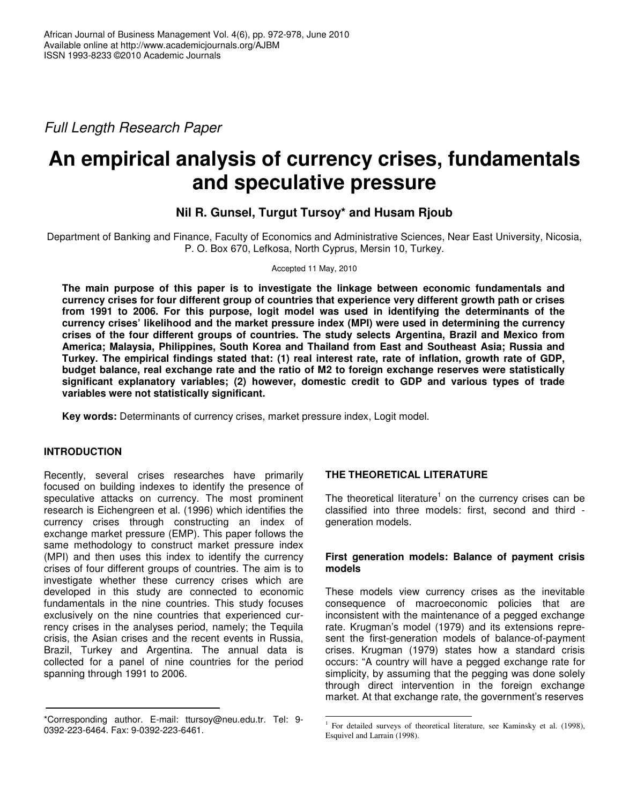*Full Length Research Paper*

# **An empirical analysis of currency crises, fundamentals and speculative pressure**

## **Nil R. Gunsel, Turgut Tursoy\* and Husam Rjoub**

Department of Banking and Finance, Faculty of Economics and Administrative Sciences, Near East University, Nicosia, P. O. Box 670, Lefkosa, North Cyprus, Mersin 10, Turkey.

Accepted 11 May, 2010

**The main purpose of this paper is to investigate the linkage between economic fundamentals and currency crises for four different group of countries that experience very different growth path or crises from 1991 to 2006. For this purpose, logit model was used in identifying the determinants of the currency crises' likelihood and the market pressure index (MPI) were used in determining the currency crises of the four different groups of countries. The study selects Argentina, Brazil and Mexico from America; Malaysia, Philippines, South Korea and Thailand from East and Southeast Asia; Russia and** Turkey. The empirical findings stated that: (1) real interest rate, rate of inflation, growth rate of GDP, **budget balance, real exchange rate and the ratio of M2 to foreign exchange reserves were statistically significant explanatory variables; (2) however, domestic credit to GDP and various types of trade variables were not statistically significant.**

**Key words:** Determinants of currency crises, market pressure index, Logit model.

## **INTRODUCTION**

Recently, several crises researches have primarily focused on building indexes to identify the presence of speculative attacks on currency. The most prominent research is Eichengreen et al. (1996) which identifies the currency crises through constructing an index of exchange market pressure (EMP). This paper follows the same methodology to construct market pressure index (MPI) and then uses this index to identify the currency crises of four different groups of countries. The aim is to investigate whether these currency crises which are developed in this study are connected to economic fundamentals in the nine countries. This study focuses exclusively on the nine countries that experienced currency crises in the analyses period, namely; the Tequila crisis, the Asian crises and the recent events in Russia, Brazil, Turkey and Argentina. The annual data is collected for a panel of nine countries for the period spanning through 1991 to 2006.

## **THE THEORETICAL LITERATURE**

<u> 1989 - Johann Barn, mars ann an t-Aonaich an t-Aonaich an t-Aonaich an t-Aonaich an t-Aonaich ann an t-Aonaich</u>

The theoretical literature<sup>1</sup> on the currency crises can be classified into three models: first, second and third generation models.

#### **First generation models: Balance of payment crisis models**

These models view currency crises as the inevitable consequence of macroeconomic policies that are inconsistent with the maintenance of a pegged exchange rate. Krugman's model (1979) and its extensions represent the first-generation models of balance-of-payment crises. Krugman (1979) states how a standard crisis occurs: "A country will have a pegged exchange rate for simplicity, by assuming that the pegging was done solely through direct intervention in the foreign exchange market. At that exchange rate, the government's reserves

<sup>\*</sup>Corresponding author. E-mail: ttursoy@neu.edu.tr. Tel: 9- 0392-223-6464. Fax: 9-0392-223-6461.

<sup>1</sup> For detailed surveys of theoretical literature, see Kaminsky et al. (1998), Esquivel and Larrain (1998).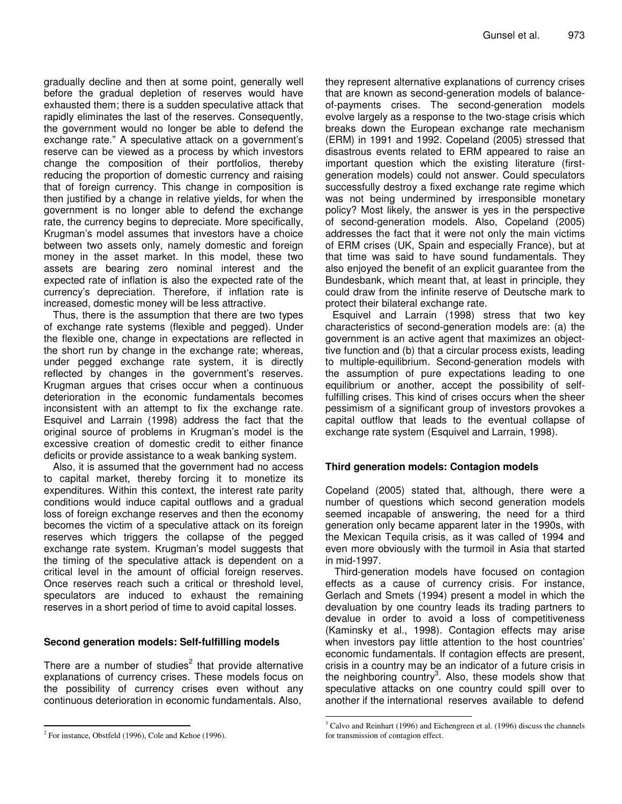gradually decline and then at some point, generally well before the gradual depletion of reserves would have exhausted them; there is a sudden speculative attack that rapidly eliminates the last of the reserves. Consequently, the government would no longer be able to defend the exchange rate." A speculative attack on a government's reserve can be viewed as a process by which investors change the composition of their portfolios, thereby reducing the proportion of domestic currency and raising that of foreign currency. This change in composition is then justified by a change in relative yields, for when the government is no longer able to defend the exchange rate, the currency begins to depreciate. More specifically, Krugman's model assumes that investors have a choice between two assets only, namely domestic and foreign money in the asset market. In this model, these two assets are bearing zero nominal interest and the expected rate of inflation is also the expected rate of the currency's depreciation. Therefore, if inflation rate is increased, domestic money will be less attractive.

Thus, there is the assumption that there are two types of exchange rate systems (flexible and pegged). Under the flexible one, change in expectations are reflected in the short run by change in the exchange rate; whereas, under pegged exchange rate system, it is directly reflected by changes in the government's reserves. Krugman argues that crises occur when a continuous deterioration in the economic fundamentals becomes inconsistent with an attempt to fix the exchange rate. Esquivel and Larrain (1998) address the fact that the original source of problems in Krugman's model is the excessive creation of domestic credit to either finance deficits or provide assistance to a weak banking system.

Also, it is assumed that the government had no access to capital market, thereby forcing it to monetize its expenditures. Within this context, the interest rate parity conditions would induce capital outflows and a gradual loss of foreign exchange reserves and then the economy becomes the victim of a speculative attack on its foreign reserves which triggers the collapse of the pegged exchange rate system. Krugman's model suggests that the timing of the speculative attack is dependent on a critical level in the amount of official foreign reserves. Once reserves reach such a critical or threshold level, speculators are induced to exhaust the remaining reserves in a short period of time to avoid capital losses.

#### **Second generation models: Self-fulfilling models**

There are a number of studies<sup>2</sup> that provide alternative explanations of currency crises. These models focus on the possibility of currency crises even without any continuous deterioration in economic fundamentals. Also,

they represent alternative explanations of currency crises that are known as second-generation models of balanceof-payments crises. The second-generation models evolve largely as a response to the two-stage crisis which breaks down the European exchange rate mechanism (ERM) in 1991 and 1992. Copeland (2005) stressed that disastrous events related to ERM appeared to raise an important question which the existing literature (firstgeneration models) could not answer. Could speculators successfully destroy a fixed exchange rate regime which was not being undermined by irresponsible monetary policy? Most likely, the answer is yes in the perspective of second-generation models. Also, Copeland (2005) addresses the fact that it were not only the main victims of ERM crises (UK, Spain and especially France), but at that time was said to have sound fundamentals. They also enjoyed the benefit of an explicit guarantee from the Bundesbank, which meant that, at least in principle, they could draw from the infinite reserve of Deutsche mark to protect their bilateral exchange rate.

Esquivel and Larrain (1998) stress that two key characteristics of second-generation models are: (a) the government is an active agent that maximizes an objecttive function and (b) that a circular process exists, leading to multiple-equilibrium. Second-generation models with the assumption of pure expectations leading to one equilibrium or another, accept the possibility of selffulfilling crises. This kind of crises occurs when the sheer pessimism of a significant group of investors provokes a capital outflow that leads to the eventual collapse of exchange rate system (Esquivel and Larrain, 1998).

#### **Third generation models: Contagion models**

Copeland (2005) stated that, although, there were a number of questions which second generation models seemed incapable of answering, the need for a third generation only became apparent later in the 1990s, with the Mexican Tequila crisis, as it was called of 1994 and even more obviously with the turmoil in Asia that started in mid-1997.

Third-generation models have focused on contagion effects as a cause of currency crisis. For instance, Gerlach and Smets (1994) present a model in which the devaluation by one country leads its trading partners to devalue in order to avoid a loss of competitiveness (Kaminsky et al., 1998). Contagion effects may arise when investors pay little attention to the host countries' economic fundamentals. If contagion effects are present, crisis in a country may be an indicator of a future crisis in the neighboring country<sup>3</sup>. Also, these models show that speculative attacks on one country could spill over to another if the international reserves available to defend

<u> 1989 - Johann Barn, mars ann an t-Aonaich an t-Aonaich an t-Aonaich an t-Aonaich an t-Aonaich ann an t-Aonaich</u>

 $2^2$  For instance, Obstfeld (1996), Cole and Kehoe (1996).

<sup>&</sup>lt;sup>3</sup> Calvo and Reinhart (1996) and Eichengreen et al. (1996) discuss the channels for transmission of contagion effect.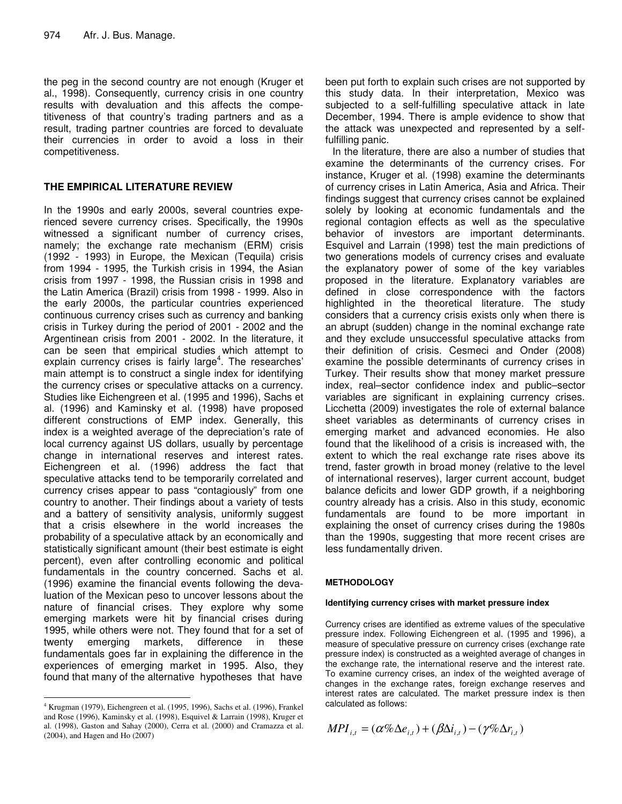the peg in the second country are not enough (Kruger et al., 1998). Consequently, currency crisis in one country results with devaluation and this affects the competitiveness of that country's trading partners and as a result, trading partner countries are forced to devaluate their currencies in order to avoid a loss in their competitiveness.

### **THE EMPIRICAL LITERATURE REVIEW**

In the 1990s and early 2000s, several countries experienced severe currency crises. Specifically, the 1990s witnessed a significant number of currency crises, namely; the exchange rate mechanism (ERM) crisis (1992 - 1993) in Europe, the Mexican (Tequila) crisis from 1994 - 1995, the Turkish crisis in 1994, the Asian crisis from 1997 - 1998, the Russian crisis in 1998 and the Latin America (Brazil) crisis from 1998 - 1999. Also in the early 2000s, the particular countries experienced continuous currency crises such as currency and banking crisis in Turkey during the period of 2001 - 2002 and the Argentinean crisis from 2001 - 2002. In the literature, it can be seen that empirical studies which attempt to explain currency crises is fairly large<sup>4</sup>. The researches' main attempt is to construct a single index for identifying the currency crises or speculative attacks on a currency. Studies like Eichengreen et al. (1995 and 1996), Sachs et al. (1996) and Kaminsky et al. (1998) have proposed different constructions of EMP index. Generally, this index is a weighted average of the depreciation's rate of local currency against US dollars, usually by percentage change in international reserves and interest rates. Eichengreen et al. (1996) address the fact that speculative attacks tend to be temporarily correlated and currency crises appear to pass "contagiously" from one country to another. Their findings about a variety of tests and a battery of sensitivity analysis, uniformly suggest that a crisis elsewhere in the world increases the probability of a speculative attack by an economically and statistically significant amount (their best estimate is eight percent), even after controlling economic and political fundamentals in the country concerned. Sachs et al. (1996) examine the financial events following the devaluation of the Mexican peso to uncover lessons about the nature of financial crises. They explore why some emerging markets were hit by financial crises during 1995, while others were not. They found that for a set of twenty emerging markets, difference in these fundamentals goes far in explaining the difference in the experiences of emerging market in 1995. Also, they found that many of the alternative hypotheses that have

<u> 1989 - Johann Barn, mars ann an t-Aonaich an t-Aonaich an t-Aonaich an t-Aonaich an t-Aonaich ann an t-Aonaich</u>

been put forth to explain such crises are not supported by this study data. In their interpretation, Mexico was subjected to a self-fulfilling speculative attack in late December, 1994. There is ample evidence to show that the attack was unexpected and represented by a selffulfilling panic.

In the literature, there are also a number of studies that examine the determinants of the currency crises. For instance, Kruger et al. (1998) examine the determinants of currency crises in Latin America, Asia and Africa. Their findings suggest that currency crises cannot be explained solely by looking at economic fundamentals and the regional contagion effects as well as the speculative behavior of investors are important determinants. Esquivel and Larrain (1998) test the main predictions of two generations models of currency crises and evaluate the explanatory power of some of the key variables proposed in the literature. Explanatory variables are defined in close correspondence with the factors highlighted in the theoretical literature. The study considers that a currency crisis exists only when there is an abrupt (sudden) change in the nominal exchange rate and they exclude unsuccessful speculative attacks from their definition of crisis. Cesmeci and Onder (2008) examine the possible determinants of currency crises in Turkey. Their results show that money market pressure index, real–sector confidence index and public–sector variables are significant in explaining currency crises. Licchetta (2009) investigates the role of external balance sheet variables as determinants of currency crises in emerging market and advanced economies. He also found that the likelihood of a crisis is increased with, the extent to which the real exchange rate rises above its trend, faster growth in broad money (relative to the level of international reserves), larger current account, budget balance deficits and lower GDP growth, if a neighboring country already has a crisis. Also in this study, economic fundamentals are found to be more important in explaining the onset of currency crises during the 1980s than the 1990s, suggesting that more recent crises are less fundamentally driven.

#### **METHODOLOGY**

#### **Identifying currency crises with market pressure index**

Currency crises are identified as extreme values of the speculative pressure index. Following Eichengreen et al. (1995 and 1996), a measure of speculative pressure on currency crises (exchange rate pressure index) is constructed as a weighted average of changes in the exchange rate, the international reserve and the interest rate. To examine currency crises, an index of the weighted average of changes in the exchange rates, foreign exchange reserves and interest rates are calculated. The market pressure index is then calculated as follows:

$$
MPI_{i,t} = (\alpha \% \Delta e_{i,t}) + (\beta \Delta i_{i,t}) - (\gamma \% \Delta r_{i,t})
$$

<sup>4</sup> Krugman (1979), Eichengreen et al. (1995, 1996), Sachs et al. (1996), Frankel and Rose (1996), Kaminsky et al. (1998), Esquivel & Larrain (1998), Kruger et al. (1998), Gaston and Sahay (2000), Cerra et al. (2000) and Cramazza et al. (2004), and Hagen and Ho (2007)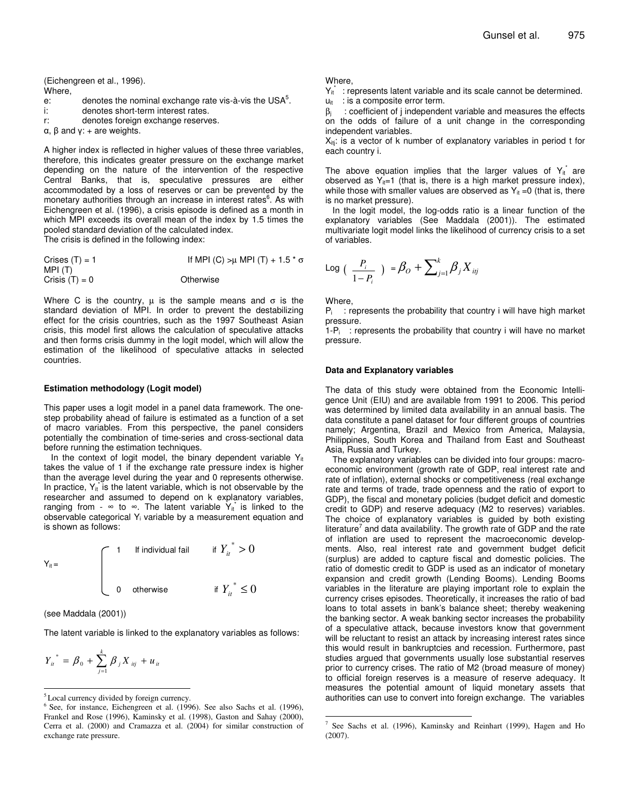(Eichengreen et al., 1996).

- Where,
- e: denotes the nominal exchange rate vis-à-vis the USA $5$ .
- i: denotes short-term interest rates.
- r: denotes foreign exchange reserves.
- $\alpha$ ,  $\beta$  and  $\gamma$ : + are weights.

A higher index is reflected in higher values of these three variables, therefore, this indicates greater pressure on the exchange market depending on the nature of the intervention of the respective Central Banks, that is, speculative pressures are either accommodated by a loss of reserves or can be prevented by the monetary authorities through an increase in interest rates<sup>6</sup>. As with Eichengreen et al. (1996), a crisis episode is defined as a month in which MPI exceeds its overall mean of the index by 1.5 times the pooled standard deviation of the calculated index. The crisis is defined in the following index:

Crises (T) = 1 If MPI (C) >  $\mu$  MPI (T) + 1.5  $\star$   $\sigma$ MPI (T)  $Crisis (T) = 0$  Otherwise

Where C is the country,  $\mu$  is the sample means and  $\sigma$  is the standard deviation of MPI. In order to prevent the destabilizing effect for the crisis countries, such as the 1997 Southeast Asian crisis, this model first allows the calculation of speculative attacks and then forms crisis dummy in the logit model, which will allow the estimation of the likelihood of speculative attacks in selected countries.

#### **Estimation methodology (Logit model)**

This paper uses a logit model in a panel data framework. The onestep probability ahead of failure is estimated as a function of a set of macro variables. From this perspective, the panel considers potentially the combination of time-series and cross-sectional data before running the estimation techniques.

In the context of logit model, the binary dependent variable  $Y_{it}$ takes the value of 1 if the exchange rate pressure index is higher than the average level during the year and 0 represents otherwise. In practice,  $Y_{it}$  is the latent variable, which is not observable by the researcher and assumed to depend on k explanatory variables, ranging from -  $\infty$  to  $\infty$ . The latent variable  $Y_{it}$  is linked to the observable categorical Y<sup>i</sup> variable by a measurement equation and is shown as follows:

$$
Y_{it} = \begin{cases} 1 & \text{If individual fail} \\ 0 & \text{otherwise} \end{cases} \quad \text{if } \left\{ Y_{it} \right\}^* > 0
$$

(see Maddala (2001))

The latent variable is linked to the explanatory variables as follows:

$$
Y_{ii}^* = \beta_0 + \sum_{j=1}^k \beta_j X_{ij} + u_{ii}
$$

#### Where,

 $Y_{it}^*$  : represents latent variable and its scale cannot be determined.  $u_{it}$  : is a composite error term.

 $β<sub>i</sub>$  : coefficient of j independent variable and measures the effects on the odds of failure of a unit change in the corresponding independent variables.

 $X_{\text{ini}}$ : is a vector of k number of explanatory variables in period t for each country i.

The above equation implies that the larger values of  $Y_{it}^*$  are observed as  $Y_{it}=1$  (that is, there is a high market pressure index), while those with smaller values are observed as  $Y_{it} = 0$  (that is, there is no market pressure).

In the logit model, the log-odds ratio is a linear function of the explanatory variables (See Maddala (2001)). The estimated multivariate logit model links the likelihood of currency crisis to a set of variables.

Log 
$$
(\frac{P_i}{1-P_i}) = \beta_O + \sum_{j=1}^{k} \beta_j X_{ij}
$$

Where,

 $P_i$ : represents the probability that country i will have high market pressure.

 $1-P_i$ : represents the probability that country i will have no market pressure.

#### **Data and Explanatory variables**

The data of this study were obtained from the Economic Intelligence Unit (EIU) and are available from 1991 to 2006. This period was determined by limited data availability in an annual basis. The data constitute a panel dataset for four different groups of countries namely; Argentina, Brazil and Mexico from America, Malaysia, Philippines, South Korea and Thailand from East and Southeast Asia, Russia and Turkey.

The explanatory variables can be divided into four groups: macroeconomic environment (growth rate of GDP, real interest rate and rate of inflation), external shocks or competitiveness (real exchange rate and terms of trade, trade openness and the ratio of export to GDP), the fiscal and monetary policies (budget deficit and domestic credit to GDP) and reserve adequacy (M2 to reserves) variables. The choice of explanatory variables is guided by both existing literature<sup>7</sup> and data availability. The growth rate of GDP and the rate of inflation are used to represent the macroeconomic developments. Also, real interest rate and government budget deficit (surplus) are added to capture fiscal and domestic policies. The ratio of domestic credit to GDP is used as an indicator of monetary expansion and credit growth (Lending Booms). Lending Booms variables in the literature are playing important role to explain the currency crises episodes. Theoretically, it increases the ratio of bad loans to total assets in bank's balance sheet; thereby weakening the banking sector. A weak banking sector increases the probability of a speculative attack, because investors know that government will be reluctant to resist an attack by increasing interest rates since this would result in bankruptcies and recession. Furthermore, past studies argued that governments usually lose substantial reserves prior to currency crises. The ratio of M2 (broad measure of money) to official foreign reserves is a measure of reserve adequacy. It measures the potential amount of liquid monetary assets that authorities can use to convert into foreign exchange. The variables

<u> 1989 - Johann Barn, mars ann an t-Aonaich an t-Aonaich an t-Aonaich an t-Aonaich an t-Aonaich ann an t-Aonaich</u>

<sup>5</sup> Local currency divided by foreign currency.

<sup>&</sup>lt;sup>6</sup> See, for instance, Eichengreen et al. (1996). See also Sachs et al. (1996), Frankel and Rose (1996), Kaminsky et al. (1998), Gaston and Sahay (2000), Cerra et al. (2000) and Cramazza et al. (2004) for similar construction of exchange rate pressure.

<sup>7</sup> See Sachs et al. (1996), Kaminsky and Reinhart (1999), Hagen and Ho (2007).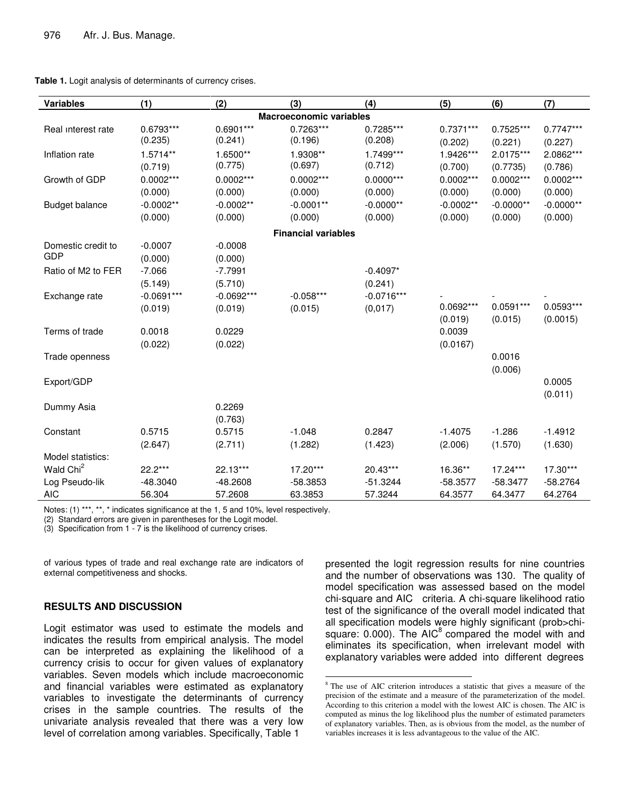| <b>Variables</b>               | (1)                    | (2)                    | (3)                    | (4)                    | (5)                    | (6)                    | (7)                     |
|--------------------------------|------------------------|------------------------|------------------------|------------------------|------------------------|------------------------|-------------------------|
| <b>Macroeconomic variables</b> |                        |                        |                        |                        |                        |                        |                         |
| Real interest rate             | $0.6793***$<br>(0.235) | 0.6901***<br>(0.241)   | $0.7263***$<br>(0.196) | $0.7285***$<br>(0.208) | $0.7371***$<br>(0.202) | $0.7525***$<br>(0.221) | $0.7747***$<br>(0.227)  |
| Inflation rate                 | $1.5714**$<br>(0.719)  | 1.6500**<br>(0.775)    | 1.9308**<br>(0.697)    | 1.7499***<br>(0.712)   | 1.9426***<br>(0.700)   | 2.0175***<br>(0.7735)  | 2.0862***<br>(0.786)    |
| Growth of GDP                  | $0.0002***$<br>(0.000) | $0.0002***$<br>(0.000) | $0.0002***$<br>(0.000) | $0.0000***$<br>(0.000) | $0.0002***$<br>(0.000) | $0.0002***$<br>(0.000) | $0.0002***$<br>(0.000)  |
| <b>Budget balance</b>          | $-0.0002**$<br>(0.000) | $-0.0002**$<br>(0.000) | $-0.0001**$<br>(0.000) | $-0.0000**$<br>(0.000) | $-0.0002**$<br>(0.000) | $-0.0000**$<br>(0.000) | $-0.0000**$<br>(0.000)  |
| <b>Financial variables</b>     |                        |                        |                        |                        |                        |                        |                         |
| Domestic credit to             | $-0.0007$              | $-0.0008$              |                        |                        |                        |                        |                         |
| GDP                            | (0.000)                | (0.000)                |                        |                        |                        |                        |                         |
| Ratio of M2 to FER             | $-7.066$               | $-7.7991$              |                        | $-0.4097*$             |                        |                        |                         |
|                                | (5.149)                | (5.710)                |                        | (0.241)                |                        |                        |                         |
| Exchange rate                  | $-0.0691***$           | $-0.0692***$           | $-0.058***$            | $-0.0716***$           |                        |                        |                         |
|                                | (0.019)                | (0.019)                | (0.015)                | (0,017)                | $0.0692***$<br>(0.019) | $0.0591***$<br>(0.015) | $0.0593***$<br>(0.0015) |
| Terms of trade                 | 0.0018<br>(0.022)      | 0.0229<br>(0.022)      |                        |                        | 0.0039<br>(0.0167)     |                        |                         |
| Trade openness                 |                        |                        |                        |                        |                        | 0.0016<br>(0.006)      |                         |
| Export/GDP                     |                        |                        |                        |                        |                        |                        | 0.0005<br>(0.011)       |
| Dummy Asia                     |                        | 0.2269<br>(0.763)      |                        |                        |                        |                        |                         |
| Constant                       | 0.5715                 | 0.5715                 | $-1.048$               | 0.2847                 | $-1.4075$              | $-1.286$               | $-1.4912$               |
|                                | (2.647)                | (2.711)                | (1.282)                | (1.423)                | (2.006)                | (1.570)                | (1.630)                 |
| Model statistics:              |                        |                        |                        |                        |                        |                        |                         |
| Wald Chi <sup>2</sup>          | $22.2***$              | 22.13***               | $17.20***$             | 20.43***               | 16.36**                | 17.24***               | $17.30***$              |
| Log Pseudo-lik                 | $-48.3040$             | $-48.2608$             | $-58.3853$             | $-51.3244$             | $-58.3577$             | $-58.3477$             | $-58.2764$              |
| <b>AIC</b>                     | 56.304                 | 57.2608                | 63.3853                | 57.3244                | 64.3577                | 64.3477                | 64.2764                 |

Notes: (1) \*\*\*, \*\*, \* indicates significance at the 1, 5 and 10%, level respectively.

(2) Standard errors are given in parentheses for the Logit model.

(3) Specification from 1 - 7 is the likelihood of currency crises.

of various types of trade and real exchange rate are indicators of external competitiveness and shocks.

#### **RESULTS AND DISCUSSION**

Logit estimator was used to estimate the models and indicates the results from empirical analysis. The model can be interpreted as explaining the likelihood of a currency crisis to occur for given values of explanatory variables. Seven models which include macroeconomic and financial variables were estimated as explanatory variables to investigate the determinants of currency crises in the sample countries. The results of the univariate analysis revealed that there was a very low level of correlation among variables. Specifically, Table 1

presented the logit regression results for nine countries and the number of observations was 130. The quality of model specification was assessed based on the model chi-square and AIC criteria. A chi-square likelihood ratio test of the significance of the overall model indicated that all specification models were highly significant (prob>chisquare: 0.000). The AIC<sup>8</sup> compared the model with and eliminates its specification, when irrelevant model with explanatory variables were added into different degrees

<u> 1989 - Johann Barn, mars ann an t-Aonaich an t-Aonaich an t-Aonaich an t-Aonaich an t-Aonaich ann an t-Aonaich</u>

<sup>8</sup> The use of AIC criterion introduces a statistic that gives a measure of the precision of the estimate and a measure of the parameterization of the model. According to this criterion a model with the lowest AIC is chosen. The AIC is computed as minus the log likelihood plus the number of estimated parameters of explanatory variables. Then, as is obvious from the model, as the number of variables increases it is less advantageous to the value of the AIC.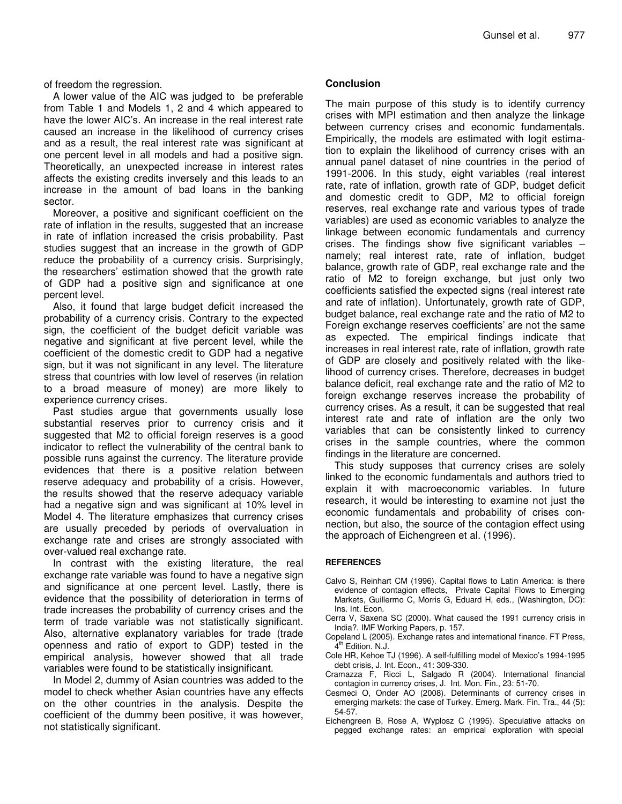of freedom the regression.

A lower value of the AIC was judged to be preferable from Table 1 and Models 1, 2 and 4 which appeared to have the lower AIC's. An increase in the real interest rate caused an increase in the likelihood of currency crises and as a result, the real interest rate was significant at one percent level in all models and had a positive sign. Theoretically, an unexpected increase in interest rates affects the existing credits inversely and this leads to an increase in the amount of bad loans in the banking sector.

Moreover, a positive and significant coefficient on the rate of inflation in the results, suggested that an increase in rate of inflation increased the crisis probability. Past studies suggest that an increase in the growth of GDP reduce the probability of a currency crisis. Surprisingly, the researchers' estimation showed that the growth rate of GDP had a positive sign and significance at one percent level.

Also, it found that large budget deficit increased the probability of a currency crisis. Contrary to the expected sign, the coefficient of the budget deficit variable was negative and significant at five percent level, while the coefficient of the domestic credit to GDP had a negative sign, but it was not significant in any level. The literature stress that countries with low level of reserves (in relation to a broad measure of money) are more likely to experience currency crises.

Past studies argue that governments usually lose substantial reserves prior to currency crisis and it suggested that M2 to official foreign reserves is a good indicator to reflect the vulnerability of the central bank to possible runs against the currency. The literature provide evidences that there is a positive relation between reserve adequacy and probability of a crisis. However, the results showed that the reserve adequacy variable had a negative sign and was significant at 10% level in Model 4. The literature emphasizes that currency crises are usually preceded by periods of overvaluation in exchange rate and crises are strongly associated with over-valued real exchange rate.

In contrast with the existing literature, the real exchange rate variable was found to have a negative sign and significance at one percent level. Lastly, there is evidence that the possibility of deterioration in terms of trade increases the probability of currency crises and the term of trade variable was not statistically significant. Also, alternative explanatory variables for trade (trade openness and ratio of export to GDP) tested in the empirical analysis, however showed that all trade variables were found to be statistically insignificant.

In Model 2, dummy of Asian countries was added to the model to check whether Asian countries have any effects on the other countries in the analysis. Despite the coefficient of the dummy been positive, it was however, not statistically significant.

#### **Conclusion**

The main purpose of this study is to identify currency crises with MPI estimation and then analyze the linkage between currency crises and economic fundamentals. Empirically, the models are estimated with logit estimation to explain the likelihood of currency crises with an annual panel dataset of nine countries in the period of 1991-2006. In this study, eight variables (real interest rate, rate of inflation, growth rate of GDP, budget deficit and domestic credit to GDP, M2 to official foreign reserves, real exchange rate and various types of trade variables) are used as economic variables to analyze the linkage between economic fundamentals and currency crises. The findings show five significant variables – namely; real interest rate, rate of inflation, budget balance, growth rate of GDP, real exchange rate and the ratio of M2 to foreign exchange, but just only two coefficients satisfied the expected signs (real interest rate and rate of inflation). Unfortunately, growth rate of GDP, budget balance, real exchange rate and the ratio of M2 to Foreign exchange reserves coefficients' are not the same as expected. The empirical findings indicate that increases in real interest rate, rate of inflation, growth rate of GDP are closely and positively related with the likelihood of currency crises. Therefore, decreases in budget balance deficit, real exchange rate and the ratio of M2 to foreign exchange reserves increase the probability of currency crises. As a result, it can be suggested that real interest rate and rate of inflation are the only two variables that can be consistently linked to currency crises in the sample countries, where the common findings in the literature are concerned.

This study supposes that currency crises are solely linked to the economic fundamentals and authors tried to explain it with macroeconomic variables. In future research, it would be interesting to examine not just the economic fundamentals and probability of crises connection, but also, the source of the contagion effect using the approach of Eichengreen et al. (1996).

#### **REFERENCES**

- Calvo S, Reinhart CM (1996). Capital flows to Latin America: is there evidence of contagion effects, Private Capital Flows to Emerging Markets, Guillermo C, Morris G, Eduard H, eds., (Washington, DC): Ins. Int. Econ.
- Cerra V, Saxena SC (2000). What caused the 1991 currency crisis in India?. IMF Working Papers*,* p. 157.
- Copeland L (2005). Exchange rates and international finance. FT Press, 4<sup>th</sup> Edition. N.J.
- Cole HR, Kehoe TJ (1996). A self-fulfilling model of Mexico's 1994-1995 debt crisis, J. Int. Econ., 41: 309-330.
- Cramazza F, Ricci L, Salgado R (2004). International financial contagion in currency crises, J. Int. Mon. Fin., 23: 51-70.
- Cesmeci O, Onder AO (2008). Determinants of currency crises in emerging markets: the case of Turkey. Emerg. Mark. Fin. Tra., 44 (5): 54-57.
- Eichengreen B, Rose A, Wyplosz C (1995). Speculative attacks on pegged exchange rates: an empirical exploration with special